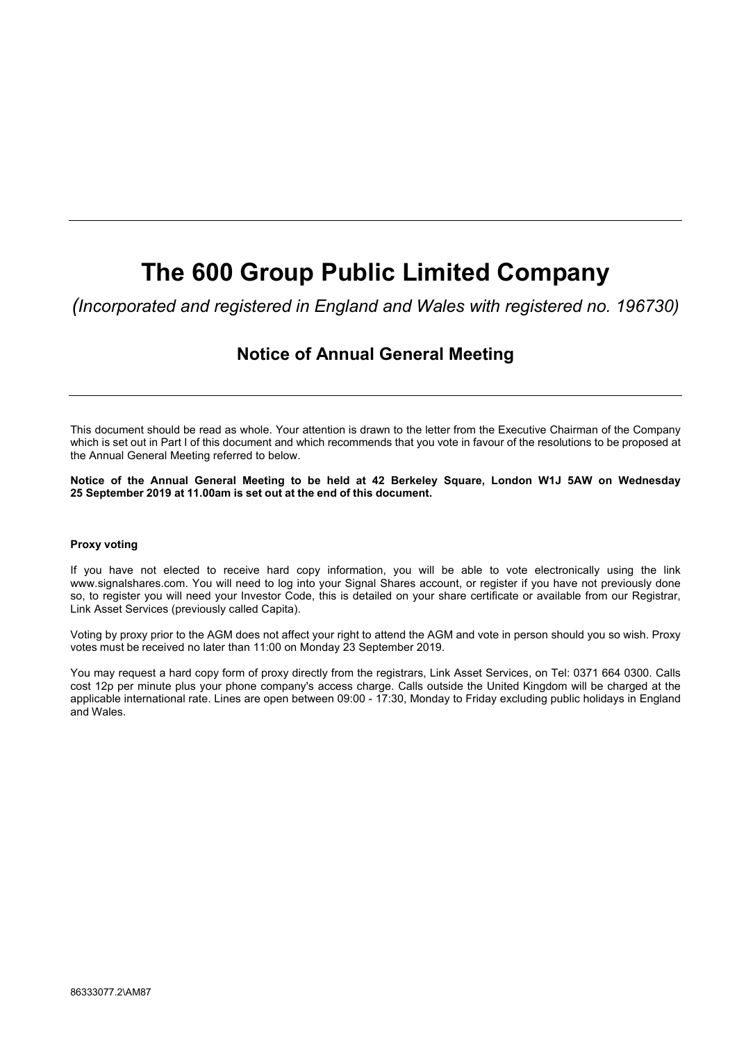# **The 600 Group Public Limited Company**

*(Incorporated and registered in England and Wales with registered no. 196730)*

# **Notice of Annual General Meeting**

This document should be read as whole. Your attention is drawn to the letter from the Executive Chairman of the Company which is set out in Part I of this document and which recommends that you vote in favour of the resolutions to be proposed at the Annual General Meeting referred to below.

**Notice of the Annual General Meeting to be held at 42 Berkeley Square, London W1J 5AW on Wednesday 25 September 2019 at 11.00am is set out at the end of this document.**

#### **Proxy voting**

If you have not elected to receive hard copy information, you will be able to vote electronically using the link www.signalshares.com. You will need to log into your Signal Shares account, or register if you have not previously done so, to register you will need your Investor Code, this is detailed on your share certificate or available from our Registrar, Link Asset Services (previously called Capita).

Voting by proxy prior to the AGM does not affect your right to attend the AGM and vote in person should you so wish. Proxy votes must be received no later than 11:00 on Monday 23 September 2019.

You may request a hard copy form of proxy directly from the registrars, Link Asset Services, on Tel: 0371 664 0300. Calls cost 12p per minute plus your phone company's access charge. Calls outside the United Kingdom will be charged at the applicable international rate. Lines are open between 09:00 - 17:30, Monday to Friday excluding public holidays in England and Wales.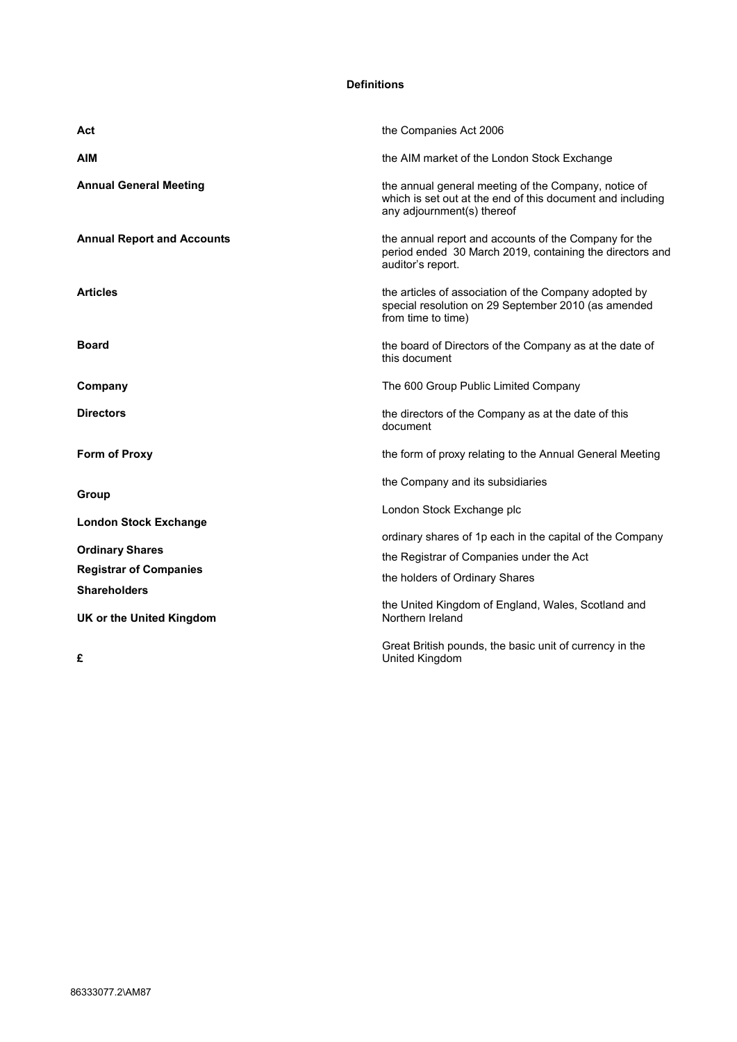#### **Definitions**

| Act                                             | the Companies Act 2006                                                                                                                           |
|-------------------------------------------------|--------------------------------------------------------------------------------------------------------------------------------------------------|
| <b>AIM</b>                                      | the AIM market of the London Stock Exchange                                                                                                      |
| <b>Annual General Meeting</b>                   | the annual general meeting of the Company, notice of<br>which is set out at the end of this document and including<br>any adjournment(s) thereof |
| <b>Annual Report and Accounts</b>               | the annual report and accounts of the Company for the<br>period ended 30 March 2019, containing the directors and<br>auditor's report.           |
| <b>Articles</b>                                 | the articles of association of the Company adopted by<br>special resolution on 29 September 2010 (as amended<br>from time to time)               |
| <b>Board</b>                                    | the board of Directors of the Company as at the date of<br>this document                                                                         |
| Company                                         | The 600 Group Public Limited Company                                                                                                             |
| <b>Directors</b>                                | the directors of the Company as at the date of this<br>document                                                                                  |
| <b>Form of Proxy</b>                            | the form of proxy relating to the Annual General Meeting                                                                                         |
| Group                                           | the Company and its subsidiaries                                                                                                                 |
| <b>London Stock Exchange</b>                    | London Stock Exchange plc                                                                                                                        |
|                                                 | ordinary shares of 1p each in the capital of the Company                                                                                         |
| <b>Ordinary Shares</b>                          | the Registrar of Companies under the Act                                                                                                         |
| <b>Registrar of Companies</b>                   | the holders of Ordinary Shares                                                                                                                   |
| <b>Shareholders</b><br>UK or the United Kingdom | the United Kingdom of England, Wales, Scotland and<br>Northern Ireland                                                                           |
| £                                               | Great British pounds, the basic unit of currency in the<br>United Kingdom                                                                        |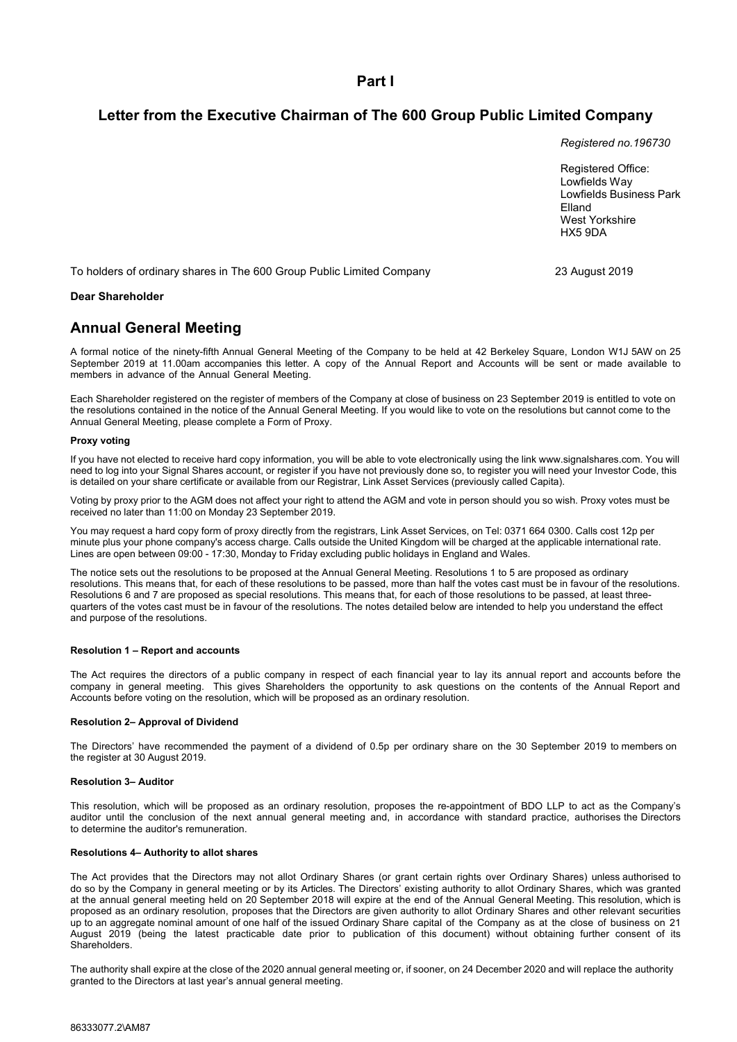**Part I**

# **Letter from the Executive Chairman of The 600 Group Public Limited Company**

*Registered no.196730*

Registered Office: Lowfields Way Lowfields Business Park Elland West Yorkshire HX5 9DA

To holders of ordinary shares in The 600 Group Public Limited Company 23 August 2019

#### **Dear Shareholder**

### **Annual General Meeting**

A formal notice of the ninety-fifth Annual General Meeting of the Company to be held at 42 Berkeley Square, London W1J 5AW on 25 September 2019 at 11.00am accompanies this letter. A copy of the Annual Report and Accounts will be sent or made available to members in advance of the Annual General Meeting.

Each Shareholder registered on the register of members of the Company at close of business on 23 September 2019 is entitled to vote on the resolutions contained in the notice of the Annual General Meeting. If you would like to vote on the resolutions but cannot come to the Annual General Meeting, please complete a Form of Proxy.

#### **Proxy voting**

If you have not elected to receive hard copy information, you will be able to vote electronically using the link www.signalshares.com. You will need to log into your Signal Shares account, or register if you have not previously done so, to register you will need your Investor Code, this is detailed on your share certificate or available from our Registrar, Link Asset Services (previously called Capita).

Voting by proxy prior to the AGM does not affect your right to attend the AGM and vote in person should you so wish. Proxy votes must be received no later than 11:00 on Monday 23 September 2019.

You may request a hard copy form of proxy directly from the registrars, Link Asset Services, on Tel: 0371 664 0300. Calls cost 12p per minute plus your phone company's access charge. Calls outside the United Kingdom will be charged at the applicable international rate. Lines are open between 09:00 - 17:30, Monday to Friday excluding public holidays in England and Wales.

The notice sets out the resolutions to be proposed at the Annual General Meeting. Resolutions 1 to 5 are proposed as ordinary resolutions. This means that, for each of these resolutions to be passed, more than half the votes cast must be in favour of the resolutions. Resolutions 6 and 7 are proposed as special resolutions. This means that, for each of those resolutions to be passed, at least threequarters of the votes cast must be in favour of the resolutions. The notes detailed below are intended to help you understand the effect and purpose of the resolutions.

#### **Resolution 1 – Report and accounts**

The Act requires the directors of a public company in respect of each financial year to lay its annual report and accounts before the company in general meeting. This gives Shareholders the opportunity to ask questions on the contents of the Annual Report and Accounts before voting on the resolution, which will be proposed as an ordinary resolution.

#### **Resolution 2– Approval of Dividend**

The Directors' have recommended the payment of a dividend of 0.5p per ordinary share on the 30 September 2019 to members on the register at 30 August 2019.

#### **Resolution 3– Auditor**

This resolution, which will be proposed as an ordinary resolution, proposes the re-appointment of BDO LLP to act as the Company's auditor until the conclusion of the next annual general meeting and, in accordance with standard practice, authorises the Directors to determine the auditor's remuneration.

#### **Resolutions 4– Authority to allot shares**

The Act provides that the Directors may not allot Ordinary Shares (or grant certain rights over Ordinary Shares) unless authorised to do so by the Company in general meeting or by its Articles. The Directors' existing authority to allot Ordinary Shares, which was granted at the annual general meeting held on 20 September 2018 will expire at the end of the Annual General Meeting. This resolution, which is proposed as an ordinary resolution, proposes that the Directors are given authority to allot Ordinary Shares and other relevant securities up to an aggregate nominal amount of one half of the issued Ordinary Share capital of the Company as at the close of business on 21 August 2019 (being the latest practicable date prior to publication of this document) without obtaining further consent of its Shareholders.

The authority shall expire at the close of the 2020 annual general meeting or, if sooner, on 24 December 2020 and will replace the authority granted to the Directors at last year's annual general meeting.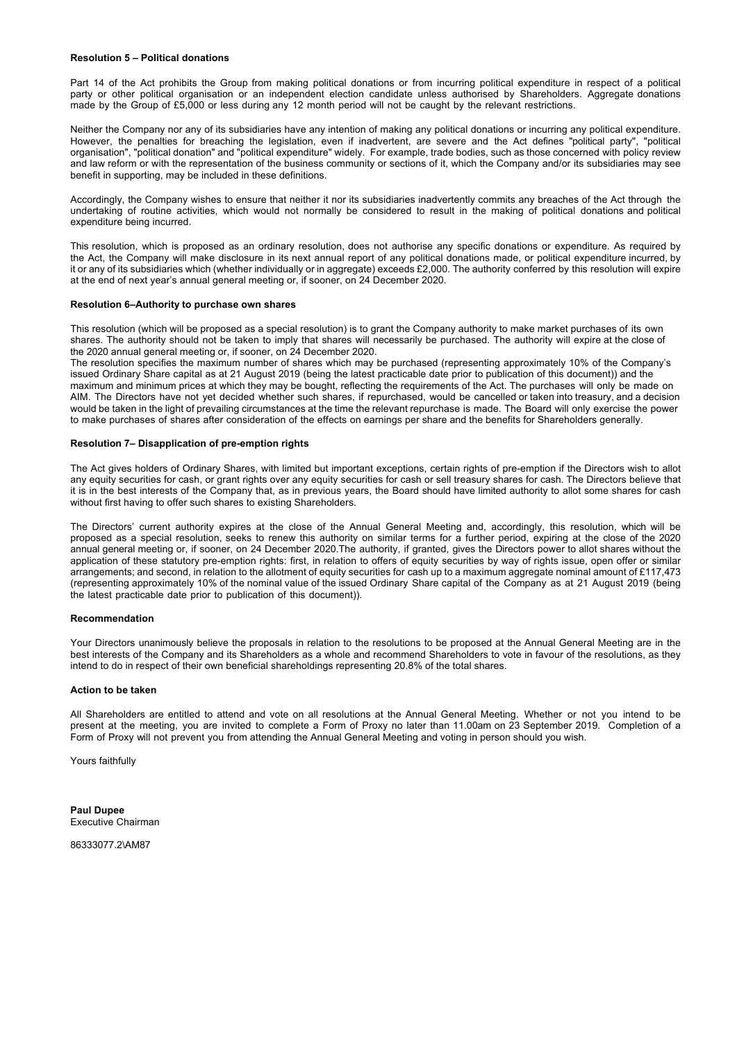#### **Resolution 5 – Political donations**

Part 14 of the Act prohibits the Group from making political donations or from incurring political expenditure in respect of a political party or other political organisation or an independent election candidate unless authorised by Shareholders. Aggregate donations made by the Group of £5,000 or less during any 12 month period will not be caught by the relevant restrictions.

Neither the Company nor any of its subsidiaries have any intention of making any political donations or incurring any political expenditure. However, the penalties for breaching the legislation, even if inadvertent, are severe and the Act defines "political party", "political organisation", "political donation" and "political expenditure" widely. For example, trade bodies, such as those concerned with policy review and law reform or with the representation of the business community or sections of it, which the Company and/or its subsidiaries may see benefit in supporting, may be included in these definitions.

Accordingly, the Company wishes to ensure that neither it nor its subsidiaries inadvertently commits any breaches of the Act through the undertaking of routine activities, which would not normally be considered to result in the making of political donations and political expenditure being incurred.

This resolution, which is proposed as an ordinary resolution, does not authorise any specific donations or expenditure. As required by the Act, the Company will make disclosure in its next annual report of any political donations made, or political expenditure incurred, by it or any of its subsidiaries which (whether individually or in aggregate) exceeds £2,000. The authority conferred by this resolution will expire at the end of next year's annual general meeting or, if sooner, on 24 December 2020.

#### **Resolution 6–Authority to purchase own shares**

This resolution (which will be proposed as a special resolution) is to grant the Company authority to make market purchases of its own shares. The authority should not be taken to imply that shares will necessarily be purchased. The authority will expire at the close of the 2020 annual general meeting or, if sooner, on 24 December 2020.

The resolution specifies the maximum number of shares which may be purchased (representing approximately 10% of the Company's issued Ordinary Share capital as at 21 August 2019 (being the latest practicable date prior to publication of this document)) and the maximum and minimum prices at which they may be bought, reflecting the requirements of the Act. The purchases will only be made on AIM. The Directors have not yet decided whether such shares, if repurchased, would be cancelled or taken into treasury, and a decision would be taken in the light of prevailing circumstances at the time the relevant repurchase is made. The Board will only exercise the power to make purchases of shares after consideration of the effects on earnings per share and the benefits for Shareholders generally.

#### **Resolution 7– Disapplication of pre-emption rights**

The Act gives holders of Ordinary Shares, with limited but important exceptions, certain rights of pre-emption if the Directors wish to allot any equity securities for cash, or grant rights over any equity securities for cash or sell treasury shares for cash. The Directors believe that it is in the best interests of the Company that, as in previous years, the Board should have limited authority to allot some shares for cash without first having to offer such shares to existing Shareholders.

The Directors' current authority expires at the close of the Annual General Meeting and, accordingly, this resolution, which will be proposed as a special resolution, seeks to renew this authority on similar terms for a further period, expiring at the close of the 2020 annual general meeting or, if sooner, on 24 December 2020.The authority, if granted, gives the Directors power to allot shares without the application of these statutory pre-emption rights: first, in relation to offers of equity securities by way of rights issue, open offer or similar arrangements; and second, in relation to the allotment of equity securities for cash up to a maximum aggregate nominal amount of £117,473 (representing approximately 10% of the nominal value of the issued Ordinary Share capital of the Company as at 21 August 2019 (being the latest practicable date prior to publication of this document)).

#### **Recommendation**

Your Directors unanimously believe the proposals in relation to the resolutions to be proposed at the Annual General Meeting are in the best interests of the Company and its Shareholders as a whole and recommend Shareholders to vote in favour of the resolutions, as they intend to do in respect of their own beneficial shareholdings representing 20.8% of the total shares.

#### **Action to be taken**

All Shareholders are entitled to attend and vote on all resolutions at the Annual General Meeting. Whether or not you intend to be present at the meeting, you are invited to complete a Form of Proxy no later than 11.00am on 23 September 2019. Completion of a Form of Proxy will not prevent you from attending the Annual General Meeting and voting in person should you wish.

Yours faithfully

**Paul Dupee**  Executive Chairman

86333077.2\AM87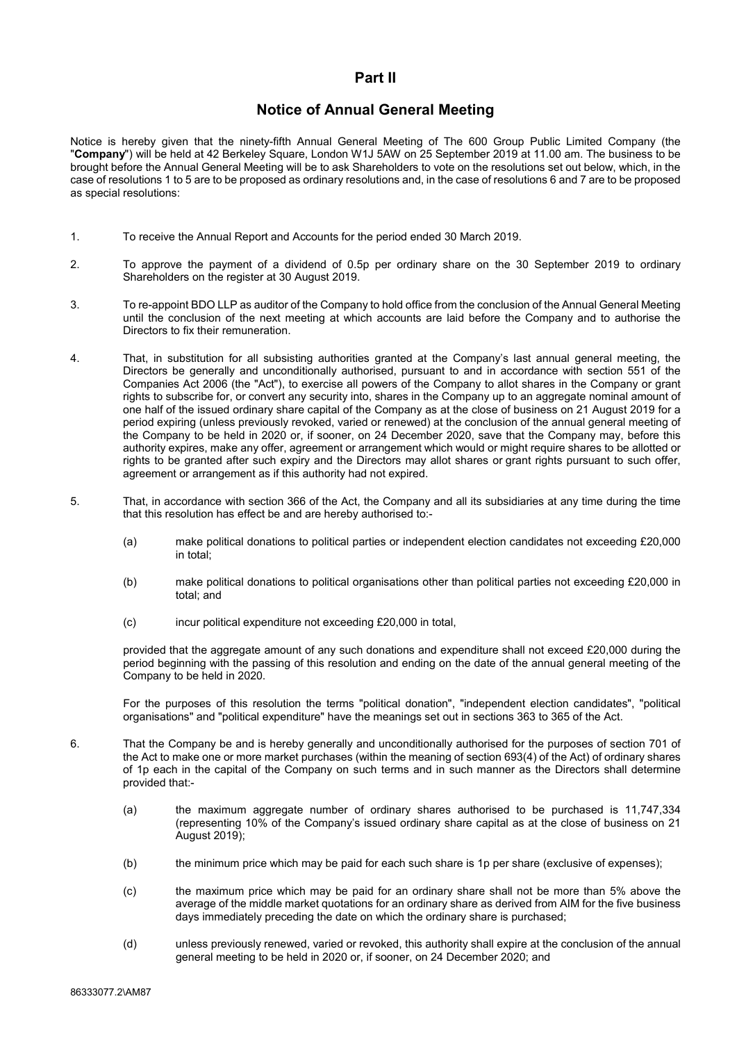## **Part II**

# **Notice of Annual General Meeting**

Notice is hereby given that the ninety-fifth Annual General Meeting of The 600 Group Public Limited Company (the "Company") will be held at 42 Berkeley Square, London W1J 5AW on 25 September 2019 at 11.00 am. The business to be brought before the Annual General Meeting will be to ask Shareholders to vote on the resolutions set out below, which, in the case of resolutions 1 to 5 are to be proposed as ordinary resolutions and, in the case of resolutions 6 and 7 are to be proposed as special resolutions:

- 1. To receive the Annual Report and Accounts for the period ended 30 March 2019.
- 2. To approve the payment of a dividend of 0.5p per ordinary share on the 30 September 2019 to ordinary Shareholders on the register at 30 August 2019.
- 3. To re-appoint BDO LLP as auditor of the Company to hold office from the conclusion of the Annual General Meeting until the conclusion of the next meeting at which accounts are laid before the Company and to authorise the Directors to fix their remuneration.
- 4. That, in substitution for all subsisting authorities granted at the Company's last annual general meeting, the Directors be generally and unconditionally authorised, pursuant to and in accordance with section 551 of the Companies Act 2006 (the "Act"), to exercise all powers of the Company to allot shares in the Company or grant rights to subscribe for, or convert any security into, shares in the Company up to an aggregate nominal amount of one half of the issued ordinary share capital of the Company as at the close of business on 21 August 2019 for a period expiring (unless previously revoked, varied or renewed) at the conclusion of the annual general meeting of the Company to be held in 2020 or, if sooner, on 24 December 2020, save that the Company may, before this authority expires, make any offer, agreement or arrangement which would or might require shares to be allotted or rights to be granted after such expiry and the Directors may allot shares or grant rights pursuant to such offer, agreement or arrangement as if this authority had not expired.
- 5. That, in accordance with section 366 of the Act, the Company and all its subsidiaries at any time during the time that this resolution has effect be and are hereby authorised to:-
	- (a) make political donations to political parties or independent election candidates not exceeding £20,000 in total;
	- (b) make political donations to political organisations other than political parties not exceeding £20,000 in total; and
	- (c) incur political expenditure not exceeding £20,000 in total,

provided that the aggregate amount of any such donations and expenditure shall not exceed £20,000 during the period beginning with the passing of this resolution and ending on the date of the annual general meeting of the Company to be held in 2020.

For the purposes of this resolution the terms "political donation", "independent election candidates", "political organisations" and "political expenditure" have the meanings set out in sections 363 to 365 of the Act.

- 6. That the Company be and is hereby generally and unconditionally authorised for the purposes of section 701 of the Act to make one or more market purchases (within the meaning of section 693(4) of the Act) of ordinary shares of 1p each in the capital of the Company on such terms and in such manner as the Directors shall determine provided that:-
	- (a) the maximum aggregate number of ordinary shares authorised to be purchased is 11,747,334 (representing 10% of the Company's issued ordinary share capital as at the close of business on 21 August 2019);
	- (b) the minimum price which may be paid for each such share is 1p per share (exclusive of expenses);
	- (c) the maximum price which may be paid for an ordinary share shall not be more than 5% above the average of the middle market quotations for an ordinary share as derived from AIM for the five business days immediately preceding the date on which the ordinary share is purchased;
	- (d) unless previously renewed, varied or revoked, this authority shall expire at the conclusion of the annual general meeting to be held in 2020 or, if sooner, on 24 December 2020; and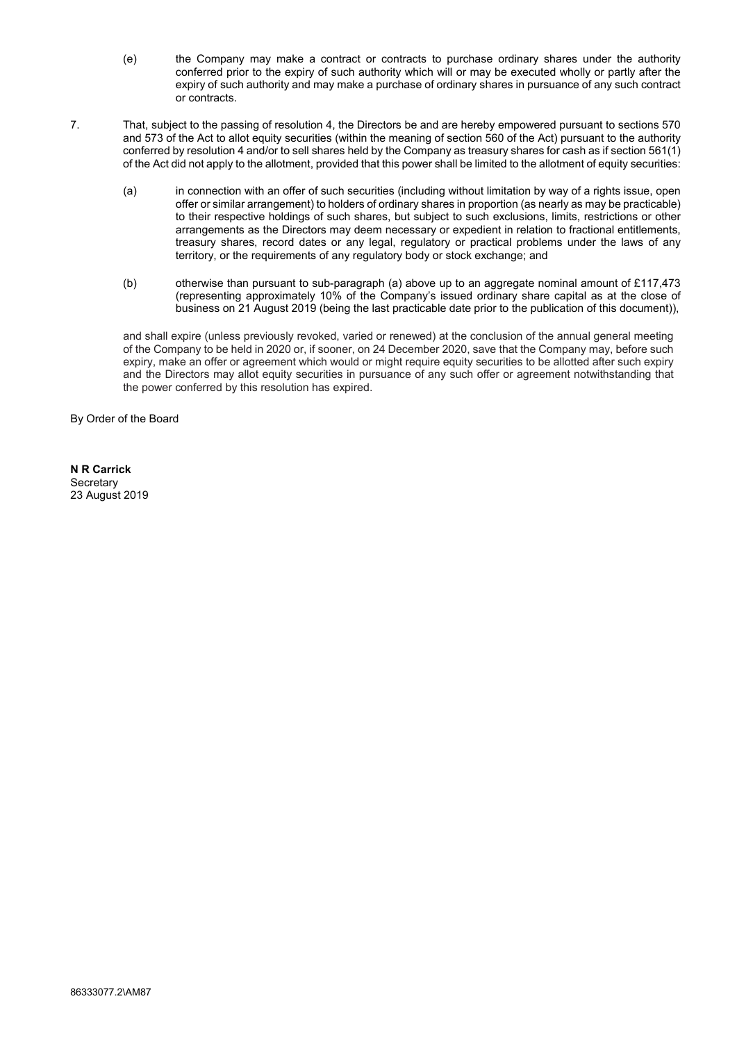- (e) the Company may make a contract or contracts to purchase ordinary shares under the authority conferred prior to the expiry of such authority which will or may be executed wholly or partly after the expiry of such authority and may make a purchase of ordinary shares in pursuance of any such contract or contracts.
- 7. That, subject to the passing of resolution 4, the Directors be and are hereby empowered pursuant to sections 570 and 573 of the Act to allot equity securities (within the meaning of section 560 of the Act) pursuant to the authority conferred by resolution 4 and/or to sell shares held by the Company as treasury shares for cash as if section 561(1) of the Act did not apply to the allotment, provided that this power shall be limited to the allotment of equity securities:
	- (a) in connection with an offer of such securities (including without limitation by way of a rights issue, open offer or similar arrangement) to holders of ordinary shares in proportion (as nearly as may be practicable) to their respective holdings of such shares, but subject to such exclusions, limits, restrictions or other arrangements as the Directors may deem necessary or expedient in relation to fractional entitlements, treasury shares, record dates or any legal, regulatory or practical problems under the laws of any territory, or the requirements of any regulatory body or stock exchange; and
	- (b) otherwise than pursuant to sub-paragraph (a) above up to an aggregate nominal amount of £117,473 (representing approximately 10% of the Company's issued ordinary share capital as at the close of business on 21 August 2019 (being the last practicable date prior to the publication of this document)),

and shall expire (unless previously revoked, varied or renewed) at the conclusion of the annual general meeting of the Company to be held in 2020 or, if sooner, on 24 December 2020, save that the Company may, before such expiry, make an offer or agreement which would or might require equity securities to be allotted after such expiry and the Directors may allot equity securities in pursuance of any such offer or agreement notwithstanding that the power conferred by this resolution has expired.

By Order of the Board

**N R Carrick Secretary** 23 August 2019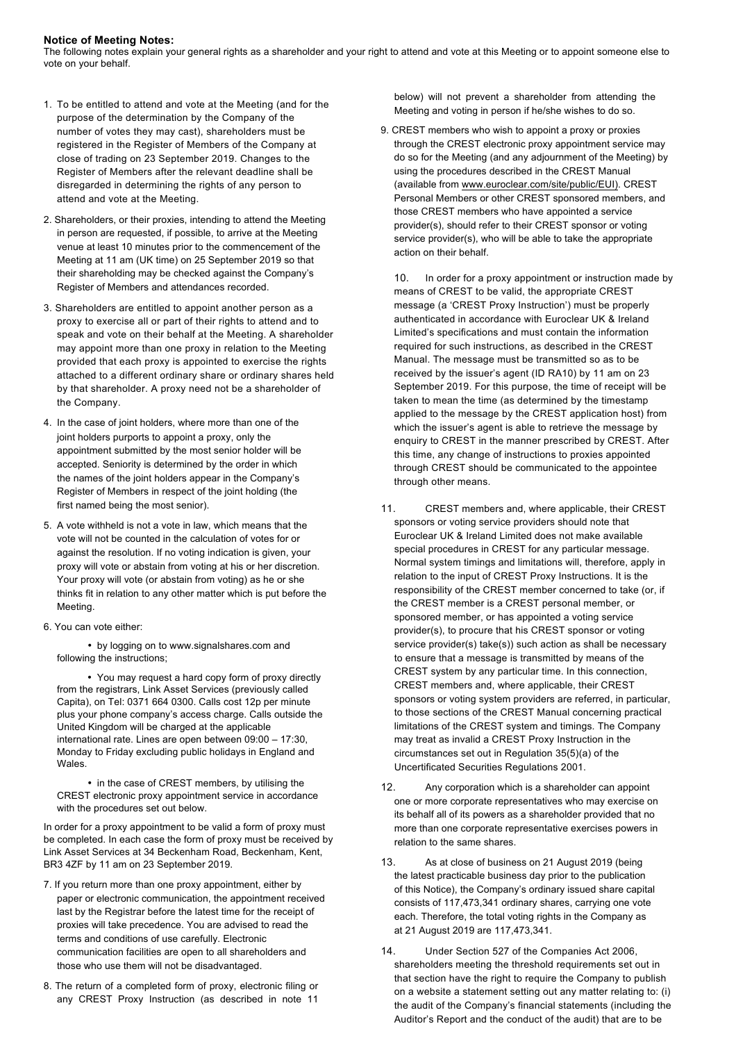#### **Notice of Meeting Notes:**

The following notes explain your general rights as a shareholder and your right to attend and vote at this Meeting or to appoint someone else to vote on your behalf.

- 1. To be entitled to attend and vote at the Meeting (and for the purpose of the determination by the Company of the number of votes they may cast), shareholders must be registered in the Register of Members of the Company at close of trading on 23 September 2019. Changes to the Register of Members after the relevant deadline shall be disregarded in determining the rights of any person to attend and vote at the Meeting.
- 2. Shareholders, or their proxies, intending to attend the Meeting in person are requested, if possible, to arrive at the Meeting venue at least 10 minutes prior to the commencement of the Meeting at 11 am (UK time) on 25 September 2019 so that their shareholding may be checked against the Company's Register of Members and attendances recorded.
- 3. Shareholders are entitled to appoint another person as a proxy to exercise all or part of their rights to attend and to speak and vote on their behalf at the Meeting. A shareholder may appoint more than one proxy in relation to the Meeting provided that each proxy is appointed to exercise the rights attached to a different ordinary share or ordinary shares held by that shareholder. A proxy need not be a shareholder of the Company.
- 4. In the case of joint holders, where more than one of the joint holders purports to appoint a proxy, only the appointment submitted by the most senior holder will be accepted. Seniority is determined by the order in which the names of the joint holders appear in the Company's Register of Members in respect of the joint holding (the first named being the most senior).
- 5. A vote withheld is not a vote in law, which means that the vote will not be counted in the calculation of votes for or against the resolution. If no voting indication is given, your proxy will vote or abstain from voting at his or her discretion. Your proxy will vote (or abstain from voting) as he or she thinks fit in relation to any other matter which is put before the Meeting.
- 6. You can vote either:

• by logging on to www.signalshares.com and following the instructions;

• You may request a hard copy form of proxy directly from the registrars, Link Asset Services (previously called Capita), on Tel: 0371 664 0300. Calls cost 12p per minute plus your phone company's access charge. Calls outside the United Kingdom will be charged at the applicable international rate. Lines are open between 09:00 – 17:30, Monday to Friday excluding public holidays in England and Wales.

• in the case of CREST members, by utilising the CREST electronic proxy appointment service in accordance with the procedures set out below.

In order for a proxy appointment to be valid a form of proxy must be completed. In each case the form of proxy must be received by Link Asset Services at 34 Beckenham Road, Beckenham, Kent, BR3 4ZF by 11 am on 23 September 2019.

- 7. If you return more than one proxy appointment, either by paper or electronic communication, the appointment received last by the Registrar before the latest time for the receipt of proxies will take precedence. You are advised to read the terms and conditions of use carefully. Electronic communication facilities are open to all shareholders and those who use them will not be disadvantaged.
- 8. The return of a completed form of proxy, electronic filing or any CREST Proxy Instruction (as described in note 11

below) will not prevent a shareholder from attending the Meeting and voting in person if he/she wishes to do so.

9. CREST members who wish to appoint a proxy or proxies through the CREST electronic proxy appointment service may do so for the Meeting (and any adjournment of the Meeting) by using the procedures described in the CREST Manual (available from www.euroclear.com/site/public/EUI). CREST Personal Members or other CREST sponsored members, and those CREST members who have appointed a service provider(s), should refer to their CREST sponsor or voting service provider(s), who will be able to take the appropriate action on their behalf.

10. In order for a proxy appointment or instruction made by means of CREST to be valid, the appropriate CREST message (a 'CREST Proxy Instruction') must be properly authenticated in accordance with Euroclear UK & Ireland Limited's specifications and must contain the information required for such instructions, as described in the CREST Manual. The message must be transmitted so as to be received by the issuer's agent (ID RA10) by 11 am on 23 September 2019. For this purpose, the time of receipt will be taken to mean the time (as determined by the timestamp applied to the message by the CREST application host) from which the issuer's agent is able to retrieve the message by enquiry to CREST in the manner prescribed by CREST. After this time, any change of instructions to proxies appointed through CREST should be communicated to the appointee through other means.

- 11. CREST members and, where applicable, their CREST sponsors or voting service providers should note that Euroclear UK & Ireland Limited does not make available special procedures in CREST for any particular message. Normal system timings and limitations will, therefore, apply in relation to the input of CREST Proxy Instructions. It is the responsibility of the CREST member concerned to take (or, if the CREST member is a CREST personal member, or sponsored member, or has appointed a voting service provider(s), to procure that his CREST sponsor or voting service provider(s) take(s)) such action as shall be necessary to ensure that a message is transmitted by means of the CREST system by any particular time. In this connection, CREST members and, where applicable, their CREST sponsors or voting system providers are referred, in particular, to those sections of the CREST Manual concerning practical limitations of the CREST system and timings. The Company may treat as invalid a CREST Proxy Instruction in the circumstances set out in Regulation 35(5)(a) of the Uncertificated Securities Regulations 2001.
- 12. Any corporation which is a shareholder can appoint one or more corporate representatives who may exercise on its behalf all of its powers as a shareholder provided that no more than one corporate representative exercises powers in relation to the same shares.
- 13. As at close of business on 21 August 2019 (being the latest practicable business day prior to the publication of this Notice), the Company's ordinary issued share capital consists of 117,473,341 ordinary shares, carrying one vote each. Therefore, the total voting rights in the Company as at 21 August 2019 are 117,473,341.
- 14. Under Section 527 of the Companies Act 2006, shareholders meeting the threshold requirements set out in that section have the right to require the Company to publish on a website a statement setting out any matter relating to: (i) the audit of the Company's financial statements (including the Auditor's Report and the conduct of the audit) that are to be